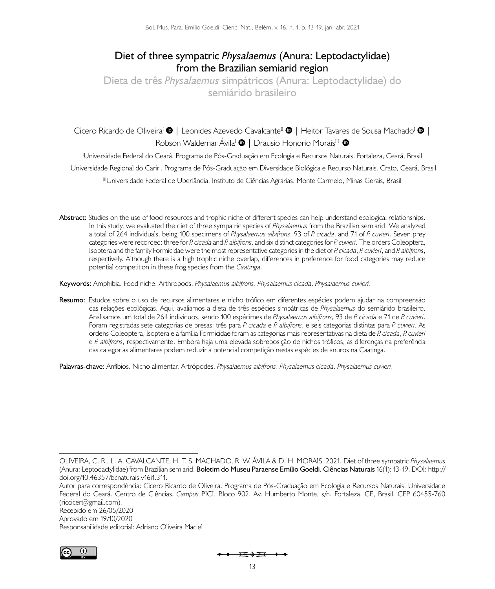# **Diet of three sympatric** *Physalaemus* **(Anura: Leptodactylidae) from the Brazilian semiarid region**

**Dieta de três** *Physalaemus* **simpátricos (Anura: Leptodactylidae) do semiárido brasileiro**

CiceroRicardo de Oliveira<sup>i</sup> <sup>(1</sup> Leonides Azevedo Cavalcante<sup>li</sup> (1 Heitor Tavares de Sousa Machado<sup>i</sup> (1 | Keonida RobsonWaldemar Ávila<sup>I</sup>  $\bullet$  | Drausio Honorio Morais<sup>III</sup>  $\bullet$ 

I Universidade Federal do Ceará. Programa de Pós-Graduação em Ecologia e Recursos Naturais. Fortaleza, Ceará, Brasil IIUniversidade Regional do Cariri. Programa de Pós-Graduação em Diversidade Biológica e Recurso Naturais. Crato, Ceará, Brasil IIIUniversidade Federal de Uberlândia. Instituto de Ci*ê*ncias Agrárias. Monte Carmelo, Minas Gerais, Brasil

**Abstract:** Studies on the use of food resources and trophic niche of different species can help understand ecological relationships. In this study, we evaluated the diet of three sympatric species of *Physalaemus* from the Brazilian semiarid. We analyzed a total of 264 individuals, being 100 specimens of *Physalaemus albifrons*, 93 of *P. cicada*, and 71 of *P. cuvieri*. Seven prey categories were recorded: three for *P. cicada* and *P. albifrons*, and six distinct categories for *P. cuvieri*. The orders Coleoptera, Isoptera and the family Formicidae were the most representative categories in the diet of *P. cicada*, *P. cuvieri*, and *P. albifrons*, respectively. Although there is a high trophic niche overlap, differences in preference for food categories may reduce potential competition in these frog species from the *Caatinga*.

**Keywords:** Amphibia. Food niche. Arthropods. *Physalaemus albifrons*. *Physalaemus cicada*. *Physalaemus cuvieri*.

**Resumo:** Estudos sobre o uso de recursos alimentares e nicho trófico em diferentes espécies podem ajudar na compreensão das relações ecológicas. Aqui, avaliamos a dieta de três espécies simpátricas de *Physalaemus* do semiárido brasileiro. Analisamos um total de 264 indivíduos, sendo 100 espécimes de *Physalaemus albifrons*, 93 de *P. cicada* e 71 de *P. cuvieri*. Foram registradas sete categorias de presas: três para *P. cicada* e *P. albifrons*, e seis categorias distintas para *P. cuvieri*. As ordens Coleoptera, Isoptera e a família Formicidae foram as categorias mais representativas na dieta de *P. cicada*, *P. cuvieri* e *P. albifrons*, respectivamente. Embora haja uma elevada sobreposição de nichos tróficos, as diferenças na preferência das categorias alimentares podem reduzir a potencial competição nestas espécies de anuros na Caatinga.

**Palavras-chave:** Anfíbios. Nicho alimentar. Artrópodes. *Physalaemus albifrons*. *Physalaemus cicada*. *Physalaemus cuvieri*.

Aprovado em 19/10/2020

Responsabilidade editorial: Adriano Oliveira Maciel



OLIVEIRA, C. R., L. A. CAVALCANTE, H. T. S. MACHADO, R. W. ÁVILA & D. H. MORAIS, 2021. Diet of three sympatric *Physalaemus*  (Anura: Leptodactylidae) from Brazilian semiarid. **Boletim do Museu Paraense Emílio Goeldi. Ciências Naturais** 16(1): 13-19. DOI: [http://](http://doi.org/10.46357/bcnaturais.v16i1.311) [doi.org/10.46357/bcnaturais.v16i1.311.](http://doi.org/10.46357/bcnaturais.v16i1.311)

Autor para correspondência: Cicero Ricardo de Oliveira. Programa de Pós-Graduação em Ecologia e Recursos Naturais. Universidade Federal do Ceará. Centro de Ciências. *Campus* PICI, Bloco 902. Av. Humberto Monte, s/n. Fortaleza, CE, Brasil. CEP 60455-760 ([riccicer@gmail.com](mailto:riccicer@gmail.com)). Recebido em 26/05/2020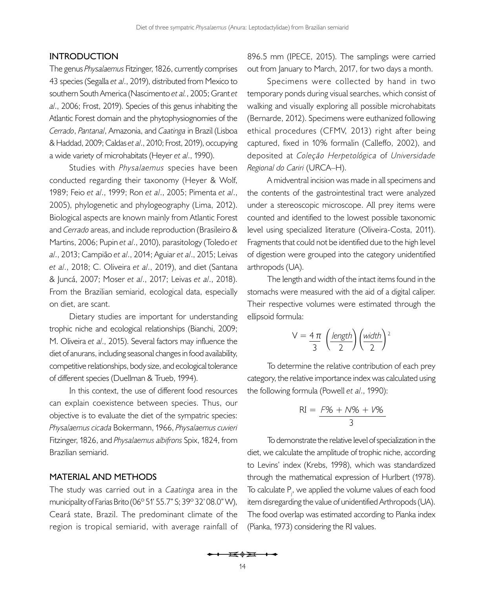### **INTRODUCTION**

The genus *Physalaemus* Fitzinger, 1826, currently comprises 43 species ([Segalla](#page-6-0) *et al*., 2019), distributed from Mexico to southern South America [\(Nascimento](#page-6-1) *et al.*, 2005; [Grant](#page-5-0) *et al*[., 2006](#page-5-0); [Frost, 2019](#page-5-1)). Species of this genus inhabiting the Atlantic Forest domain and the phytophysiognomies of the *Cerrado*, *Pantanal*, Amazonia, and *Caatinga* in Brazil [\(Lisboa](#page-5-2)  [& Haddad, 2009](#page-5-2); [Caldas](#page-5-3) *et al*., 2010; [Frost, 2019](#page-5-1)), occupying a wide variety of microhabitats ([Heyer](#page-5-4) *et al*., 1990).

Studies with *Physalaemus* species have been conducted regarding their taxonomy [\(Heyer & Wolf,](#page-5-5) [1989](#page-5-5); Feio *et al*[., 1999;](#page-5-6) Ron *et al*[., 2005;](#page-6-2) [Pimenta](#page-6-3) *et al*., [2005\)](#page-6-3), phylogenetic and phylogeography [\(Lima, 2012](#page-5-7)). Biological aspects are known mainly from Atlantic Forest and *Cerrado* areas, and include reproduction ([Brasileiro &](#page-5-8) [Martins, 2006](#page-5-8); Pupin *et al*[., 2010](#page-6-4)), parasitology [\(Toledo](#page-6-5) *et al*[., 2013](#page-6-5); Campião *et al*., 2014; [Aguiar](#page-4-0) *et al*., 2015; Leivas *et al*., 2018; C. Oliveira *et al*., 2019), and diet ([Santana](#page-6-6) [& Juncá, 2007](#page-6-6); Moser *et al*[., 2017;](#page-6-7) Leivas *et al*., 2018). From the Brazilian semiarid, ecological data, especially on diet, are scant.

Dietary studies are important for understanding trophic niche and ecological relationships ([Bianchi, 2009](#page-5-9); [M. Oliveira](#page-6-8) *et al*., 2015). Several factors may influence the diet of anurans, including seasonal changes in food availability, competitive relationships, body size, and ecological tolerance of different species ([Duellman & Trueb, 1994\)](#page-5-10).

In this context, the use of different food resources can explain coexistence between species. Thus, our objective is to evaluate the diet of the sympatric species: *Physalaemus cicada* Bokermann, 1966, *Physalaemus cuvieri* Fitzinger, 1826, and *Physalaemus albifrons* Spix, 1824, from Brazilian semiarid.

## **MATERIAL AND METHODS**

The study was carried out in a *Caatinga* area in the municipality of Farias Brito (06° 51' 55.7" S; 39° 32' 08.0" W), Ceará state, Brazil. The predominant climate of the region is tropical semiarid, with average rainfall of

896.5 mm (IPECE, 2015). The samplings were carried out from January to March, 2017, for two days a month.

Specimens were collected by hand in two temporary ponds during visual searches, which consist of walking and visually exploring all possible microhabitats ([Bernarde, 2012](#page-5-11)). Specimens were euthanized following ethical procedures (CFMV, 2013) right after being captured, fixed in 10% formalin ([Calleffo, 2002](#page-5-12)), and deposited at *Coleção Herpetológica* of *Universidade Regional do Cariri* (URCA–H).

A midventral incision was made in all specimens and the contents of the gastrointestinal tract were analyzed under a stereoscopic microscope. All prey items were counted and identified to the lowest possible taxonomic level using specialized literature ([Oliveira-Costa, 2011](#page-6-9)). Fragments that could not be identified due to the high level of digestion were grouped into the category unidentified arthropods (UA).

The length and width of the intact items found in the stomachs were measured with the aid of a digital caliper. Their respective volumes were estimated through the ellipsoid formula:

$$
V = \frac{4 \pi}{3} \left( \frac{length}{2} \right) \left( \frac{width}{2} \right)^2
$$

To determine the relative contribution of each prey category, the relative importance index was calculated using the following formula ([Powell](#page-6-10) *et al*., 1990):

$$
RI = \frac{F\% + N\% + V\%}{3}
$$

To demonstrate the relative level of specialization in the diet, we calculate the amplitude of trophic niche, according to Levins' index ([Krebs, 1998](#page-5-13)), which was standardized through the mathematical expression of [Hurlbert \(1978\)](#page-5-14). To calculate  $P_{i,j}$ , we applied the volume values of each food item disregarding the value of unidentified Arthropods (UA). The food overlap was estimated according to Pianka index ([Pianka, 1973\)](#page-6-11) considering the RI values.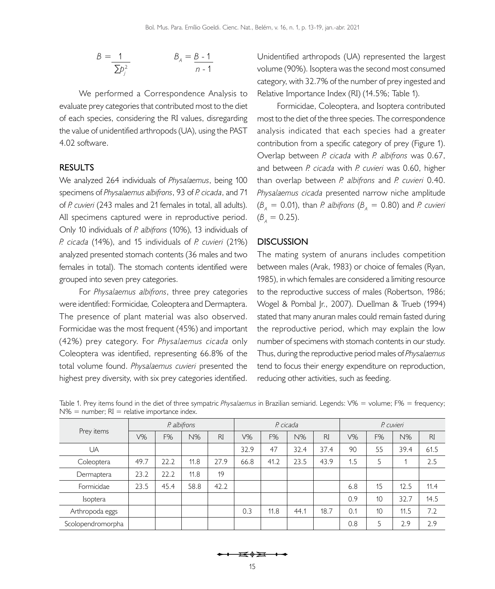$$
B = \frac{1}{\sum p_i^2} \qquad B_A = \frac{B - 1}{n - 1}
$$

We performed a Correspondence Analysis to evaluate prey categories that contributed most to the diet of each species, considering the RI values, disregarding the value of unidentified arthropods (UA), using the PAST 4.02 software.

# **RESULTS**

We analyzed 264 individuals of *Physalaemus*, being 100 specimens of *Physalaemus albifrons*, 93 of *P. cicada*, and 71 of *P. cuvieri* (243 males and 21 females in total, all adults). All specimens captured were in reproductive period. Only 10 individuals of *P. albifrons* (10%), 13 individuals of *P. cicada* (14%), and 15 individuals of *P. cuvieri* (21%) analyzed presented stomach contents (36 males and two females in total). The stomach contents identified were grouped into seven prey categories.

For *Physalaemus albifrons*, three prey categories were identified: Formicidae*,* Coleoptera and Dermaptera. The presence of plant material was also observed. Formicidae was the most frequent (45%) and important (42%) prey category. For *Physalaemus cicada* only Coleoptera was identified, representing 66.8% of the total volume found. *Physalaemus cuvieri* presented the highest prey diversity, with six prey categories identified.

Unidentified arthropods (UA) represented the largest volume (90%). Isoptera was the second most consumed category, with 32.7% of the number of prey ingested and Relative Importance Index (RI) (14.5%; [Table 1\)](#page-2-0).

Formicidae, Coleoptera, and Isoptera contributed most to the diet of the three species. The correspondence analysis indicated that each species had a greater contribution from a specific category of prey [\(Figure 1](#page-3-0)). Overlap between *P. cicada* with *P. albifrons* was 0.67, and between *P. cicada* with *P. cuvieri* was 0.60, higher than overlap between *P. albifrons* and *P. cuvieri* 0.40. *Physalaemus cicada* presented narrow niche amplitude  $(\beta_{\rm A}=0.01)$ , than *P. albifrons* ( $\beta_{\rm A}=0.80$ ) and *P. cuvieri*  $(B_{\text{A}} = 0.25)$ .

### **DISCUSSION**

The mating system of anurans includes competition between males ([Arak, 1983](#page-4-1)) or choice of females ([Ryan,](#page-6-12)  [1985\)](#page-6-12), in which females are considered a limiting resource to the reproductive success of males [\(Robertson, 1986](#page-6-13); [Wogel & Pombal Jr., 2007\)](#page-6-14). [Duellman & Trueb \(1994\)](#page-5-10) stated that many anuran males could remain fasted during the reproductive period, which may explain the low number of specimens with stomach contents in our study. Thus, during the reproductive period males of *Physalaemus* tend to focus their energy expenditure on reproduction, reducing other activities, such as feeding.

| Prey items        | P. albifrons |      |      |           | P. cicada |      |      |           | P. cuvieri |    |      |           |
|-------------------|--------------|------|------|-----------|-----------|------|------|-----------|------------|----|------|-----------|
|                   | V%           | F%   | N%   | <b>RI</b> | V%        | F%   | N%   | <b>RI</b> | $V\%$      | F% | N%   | <b>RI</b> |
| UA                |              |      |      |           | 32.9      | 47   | 32.4 | 37.4      | 90         | 55 | 39.4 | 61.5      |
| Coleoptera        | 49.7         | 22.2 | 11.8 | 27.9      | 66.8      | 41.2 | 23.5 | 43.9      | 1.5        | 5  |      | 2.5       |
| Dermaptera        | 23.2         | 22.2 | 11.8 | 19        |           |      |      |           |            |    |      |           |
| Formicidae        | 23.5         | 45.4 | 58.8 | 42.2      |           |      |      |           | 6.8        | 15 | 12.5 | 11.4      |
| <i>Isoptera</i>   |              |      |      |           |           |      |      |           | 0.9        | 10 | 32.7 | 14.5      |
| Arthropoda eggs   |              |      |      |           | 0.3       | 11.8 | 44.1 | 18.7      | 0.1        | 10 | 11.5 | 7.2       |
| Scolopendromorpha |              |      |      |           |           |      |      |           | 0.8        |    | 2.9  | 2.9       |

<span id="page-2-0"></span>Table 1. Prey items found in the diet of three sympatric *Physalaemus* in Brazilian semiarid. Legends: V% = volume; F% = frequency;  $N\%$  = number;  $RI$  = relative importance index.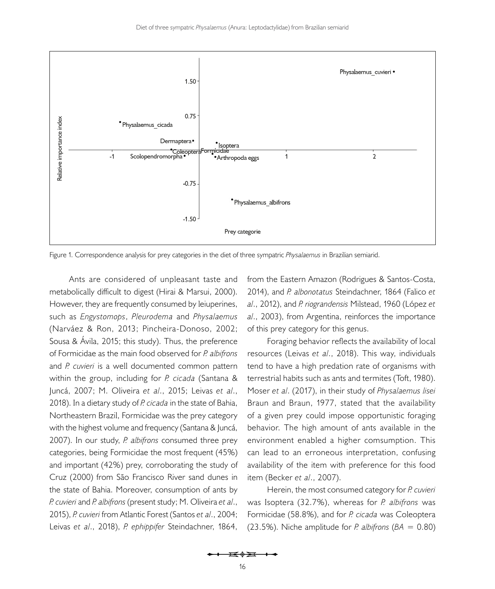

<span id="page-3-0"></span>Figure 1. Correspondence analysis for prey categories in the diet of three sympatric *Physalaemus* in Brazilian semiarid.

Ants are considered of unpleasant taste and metabolically difficult to digest ([Hirai & Marsui, 2000](#page-5-15)). However, they are frequently consumed by leiuperines, such as *Engystomops*, *Pleurodema* and *Physalaemus*  (Narváez & Ron, 2013; [Pincheira-Donoso, 2002](#page-6-15); Sousa & Ávila, 2015; this study). Thus, the preference of Formicidae as the main food observed for *P. albifrons* and *P. cuvieri* is a well documented common pattern within the group, including for *P. cicada* ([Santana &](#page-6-6) [Juncá, 2007](#page-6-6); [M. Oliveira](#page-6-8) *et al*., 2015; Leivas *et al*., 2018). In a dietary study of *P. cicada* in the state of Bahia, Northeastern Brazil, Formicidae was the prey category with the highest volume and frequency [\(Santana & Juncá,](#page-6-6) [2007](#page-6-6)). In our study, *P. albifrons* consumed three prey categories, being Formicidae the most frequent (45%) and important (42%) prey, corroborating the study of [Cruz \(2000\)](#page-5-16) from São Francisco River sand dunes in the state of Bahia. Moreover, consumption of ants by *P. cuvieri* and *P. albifrons* (present study; [M. Oliveira](#page-6-8) *et al*., [2015](#page-6-8)), *P. cuvieri* from Atlantic Forest [\(Santos](#page-6-16) *et al*., 2004; Leivas *et al*., 2018), *P. ephippifer* Steindachner, 1864,

from the Eastern Amazon ([Rodrigues & Santos-Costa,](#page-6-17)  [2014\)](#page-6-17), and *P. albonotatus* Steindachner, 1864 [\(Falico](#page-5-17) *et al*[., 2012\)](#page-5-17), and *P. riograndensis* Milstead, 1960 (López *et al*., 2003), from Argentina, reinforces the importance of this prey category for this genus.

Foraging behavior reflects the availability of local resources (Leivas *et al*., 2018). This way, individuals tend to have a high predation rate of organisms with terrestrial habits such as ants and termites ([Toft, 1980](#page-6-18)). Moser *et al*[. \(2017\)](#page-6-7), in their study of *Physalaemus lisei* Braun and Braun, 1977, stated that the availability of a given prey could impose opportunistic foraging behavior. The high amount of ants available in the environment enabled a higher comsumption. This can lead to an erroneous interpretation, confusing availability of the item with preference for this food item ([Becker](#page-4-2) *et al*., 2007).

Herein, the most consumed category for *P. cuvieri* was Isoptera (32.7%), whereas for *P. albifrons* was Formicidae (58.8%), and for *P. cicada* was Coleoptera (23.5%). Niche amplitude for *P. albifrons* ( $BA = 0.80$ )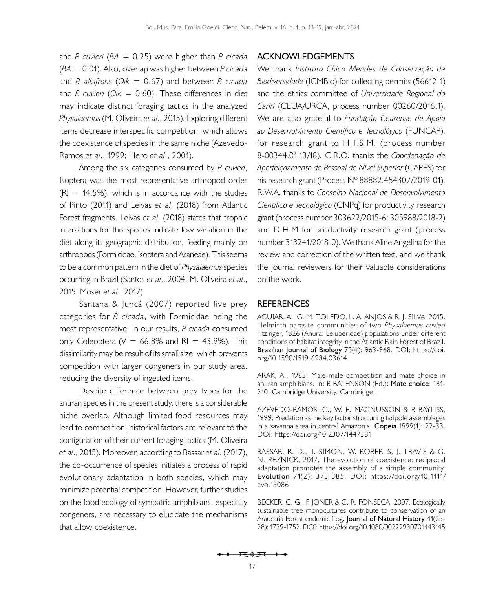and *P. cuvieri* (*BA* = 0.25) were higher than *P. cicada* (*BA* = 0.01). Also, overlap was higher between *P. cicada* and *P. albifrons* (*Oik* = 0.67) and between *P. cicada* and *P. cuvieri* (*Oik* = 0.60). These differences in diet may indicate distinct foraging tactics in the analyzed *Physalaemus* ([M. Oliveira](#page-6-8) *et al*., 2015). Exploring different items decrease interspecific competition, which allows the coexistence of species in the same niche [\(Azevedo-](#page-4-3)[Ramos](#page-4-3) *et al*., 1999; Hero *et al*[., 2001](#page-5-18)).

Among the six categories consumed by *P. cuvieri*, Isoptera was the most representative arthropod order  $(RI = 14.5\%)$ , which is in accordance with the studies of [Pinto \(2011\)](#page-6-19) and Leivas *et al*. (2018) from Atlantic Forest fragments. Leivas *et al*. (2018) states that trophic interactions for this species indicate low variation in the diet along its geographic distribution, feeding mainly on arthropods (Formicidae, Isoptera and Araneae). This seems to be a common pattern in the diet of *Physalaemus* species occurring in Brazil (Santos *et al*[., 2004;](#page-6-16) [M. Oliveira](#page-6-8) *et al*., [2015;](#page-6-8) [Moser](#page-6-7) *et al*., 2017).

[Santana & Juncá \(2007\)](#page-6-6) reported five prey categories for *P. cicada*, with Formicidae being the most representative. In our results, *P. cicada* consumed only Coleoptera ( $V = 66.8\%$  and RI = 43.9%). This dissimilarity may be result of its small size, which prevents competition with larger congeners in our study area, reducing the diversity of ingested items.

Despite difference between prey types for the anuran species in the present study, there is a considerable niche overlap. Although limited food resources may lead to competition, historical factors are relevant to the configuration of their current foraging tactics ([M. Oliveira](#page-6-8)  *et al*[., 2015\)](#page-6-8). Moreover, according to Bassar *et al*[. \(2017\)](#page-4-4), the co-occurrence of species initiates a process of rapid evolutionary adaptation in both species, which may minimize potential competition. However, further studies on the food ecology of sympatric amphibians, especially congeners, are necessary to elucidate the mechanisms that allow coexistence.

## **ACKNOWLEDGEMENTS**

We thank *Instituto Chico Mendes de Conservação da Biodiversidade* (ICMBio) for collecting permits (56612-1) and the ethics committee of *Universidade Regional do Cariri* (CEUA/URCA, process number 00260/2016.1). We are also grateful to *Fundação Cearense de Apoio ao Desenvolvimento Científico e Tecnológico* (FUNCAP), for research grant to H.T.S.M. (process number 8-00344.01.13/18). C.R.O. thanks the *Coordenação de Aperfeiçoamento de Pessoal de Nível Superior* (CAPES) for his research grant (Process N° 88882.454307/2019-01). R.W.A. thanks to *Conselho Nacional de Desenvolvimento Científico e Tecnológico* (CNPq) for productivity research grant (process number 303622/2015-6; 305988/2018-2) and D.H.M for productivity research grant (process number 313241/2018-0). We thank Aline Angelina for the review and correction of the written text, and we thank the journal reviewers for their valuable considerations on the work.

#### **REFERENCES**

<span id="page-4-0"></span>AGUIAR, A., G. M. TOLEDO, L. A. ANJOS & R. J. SILVA, 2015. Helminth parasite communities of two *Physalaemus cuvieri*  Fitzinger, 1826 (Anura: Leiuperidae) populations under different conditions of habitat integrity in the Atlantic Rain Forest of Brazil. **Brazilian Journal of Biology** 75(4): 963-968. DOI: [https://doi.](https://doi.org/10.1590/1519-6984.03614) [org/10.1590/1519-6984.03614](https://doi.org/10.1590/1519-6984.03614)

<span id="page-4-1"></span>ARAK, A., 1983. Male-male competition and mate choice in anuran amphibians. In: P. BATENSON (Ed.): **Mate choice**: 181- 210. Cambridge University, Cambridge.

<span id="page-4-3"></span>AZEVEDO-RAMOS, C., W. E. MAGNUSSON & P. BAYLISS, 1999. Predation as the key factor structuring tadpole assemblages in a savanna area in central Amazonia. **Copeia** 1999(1): 22-33. DOI:<https://doi.org/10.2307/1447381>

<span id="page-4-4"></span>BASSAR, R. D., T. SIMON, W. ROBERTS, J. TRAVIS & G. N. REZNICK, 2017. The evolution of coexistence: reciprocal adaptation promotes the assembly of a simple community. **Evolution** 71(2): 373-385. DOI: [https://doi.org/10.1111/](https://doi.org/10.1111/evo.13086) [evo.13086](https://doi.org/10.1111/evo.13086)

<span id="page-4-2"></span>BECKER, C. G., F. JONER & C. R. FONSECA, 2007. Ecologically sustainable tree monocultures contribute to conservation of an Araucaria Forest endemic frog. **Journal of Natural History** 41(25- 28): 1739-1752. DOI:<https://doi.org/10.1080/00222930701443145>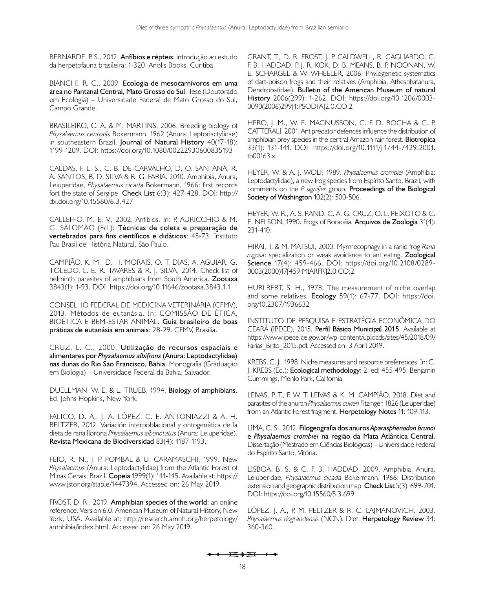<span id="page-5-11"></span>BERNARDE, P. S., 2012. **Anfíbios e répteis**: introdução ao estudo da herpetofauna brasileira: 1-320. Anolis Books, Curitiba.

<span id="page-5-9"></span>BIANCHI, R. C., 2009. **Ecologia de mesocarnívoros em uma área no Pantanal Central, Mato Grosso do Sul**. Tese (Doutorado em Ecologia) – Universidade Federal de Mato Grosso do Sul, Campo Grande.

<span id="page-5-8"></span>BRASILEIRO, C. A. & M. MARTINS, 2006. Breeding biology of *Physalaemus centralis* Bokermann, 1962 (Anura: Leptodactylidae) in southeastern Brazil. **Journal of Natural History** 40(17-18): 1199-1209. DOI: <https://doi.org/10.1080/00222930600835193>

<span id="page-5-3"></span>CALDAS, F. L. S., C. B. DE-CARVALHO, D. O. SANTANA, R. A. SANTOS, B. D. SILVA & R. G. FARIA. 2010. Amphibia, Anura, Leiuperidae, *Physalaemus cicada* Bokermann, 1966: first records fort the state of Sergipe. **Check List** 6(3): 427-428. DOI: [http://](http://dx.doi.org/10.15560/6.3.427) [dx.doi.org/10.15560/6.3.427](http://dx.doi.org/10.15560/6.3.427)

<span id="page-5-12"></span>CALLEFFO, M. E. V., 2002. Anfíbios. In: P. AURICCHIO & M. G. SALOMÃO (Ed.): **Técnicas de coleta e preparação de vertebrados para fins científicos e didáticos**: 45-73. Instituto Pau Brasil de História Natural, São Paulo.

CAMPIÃO, K. M., D. H. MORAIS, O. T. DIAS, A. AGUIAR, G. TOLEDO, L. E. R. TAVARES & R. J. SILVA, 2014. Check list of helminth parasites of amphibians from South America. **Zootaxa** 3843(1): 1-93. DOI:<https://doi.org/10.11646/zootaxa.3843.1.1>

CONSELHO FEDERAL DE MEDICINA VETERINÁRIA (CFMV), 2013. Métodos de eutanásia. In: COMISSÃO DE ÉTICA, BIOÉTICA E BEM-ESTAR ANIMAL. **Guia brasileiro de boas práticas de eutanásia em animais**: 28-29. CFMV, Brasília.

<span id="page-5-16"></span>CRUZ, L. C., 2000. **Utilização de recursos espaciais e alimentares por** *Physalaemus albifrons* **(Anura: Leptodactylidae) nas dunas do Rio São Francisco, Bahia**. Monografia (Graduação em Biologia) – Universidade Federal da Bahia, Salvador.

<span id="page-5-10"></span>DUELLMAN, W. E. & L. TRUEB, 1994. **Biology of amphibians**. Ed. Johns Hopkins, New York.

<span id="page-5-17"></span>FALICO, D. A., J. A. LÓPEZ, C. E. ANTONIAZZI & A. H. BELTZER, 2012. Variación interpoblacional y ontogenética de la dieta de rana llorona *Physalaemus albonotatus* (Anura: Leiuperidae). **Revista Mexicana de Biodiversidad** 83(4): 1187-1193.

<span id="page-5-6"></span>FEIO, R. N., J. P. POMBAL & U. CARAMASCHI, 1999. New *Physalaemus* (Anura: Leptodactylidae) from the Atlantic Forest of Minas Gerais, Brazil. **Copeia** 1999(1): 141-145. Available at: [https://](https://www.jstor.org/stable/1447394) [www.jstor.org/stable/1447394](https://www.jstor.org/stable/1447394). Accessed on: 26 May 2019.

<span id="page-5-1"></span>FROST, D. R., 2019. **Amphibian species of the world**: an online reference. Version 6.0. American Museum of Natural History, New York, USA. Available at: [http://research.amnh.org/herpetology/](http://research.amnh.org/herpetology/amphibia/index.html) [amphibia/index.html](http://research.amnh.org/herpetology/amphibia/index.html). Accessed on: 26 May 2019.

<span id="page-5-0"></span>GRANT, T., D. R. FROST, J. P. CALDWELL, R. GAGLIARDO, C. F. B. HADDAD, P. J. R. KOK, D. B. MEANS, B. P. NOONAN, W. E. SCHARGEL & W. WHEELER, 2006. Phylogenetic systematics of dart-poison frogs and their relatives (Amphibia, Athesphatanura, Dendrobatidae). **Bulletin of the American Museum of natural History** 2006(299): 1-262. DOI: [https://doi.org/10.1206/0003-](https://doi.org/10.1206/0003-0090(2006)299%5b1:PSODFA%5d2.0.CO;2) [0090\(2006\)299\[1:PSODFA\]2.0.CO;2](https://doi.org/10.1206/0003-0090(2006)299%5b1:PSODFA%5d2.0.CO;2)

<span id="page-5-18"></span>HERO, J. M., W. E. MAGNUSSON, C. F. D. ROCHA & C. P. CATTERALI, 2001. Antipredator defences influence the distribution of amphibian prey species in the central Amazon rain forest. **Biotropica** 33(1): 131-141. DOI: [https://doi.org/10.1111/j.1744-7429.2001.](https://doi.org/10.1111/j.1744-7429.2001.tb00163.x) [tb00163.x](https://doi.org/10.1111/j.1744-7429.2001.tb00163.x)

<span id="page-5-5"></span>HEYER, W. & A. J. WOLF, 1989. *Physalaemus crombiei* (Amphibia: Leptodactylidae), a new frog species from Espírito Santo, Brazil, with comments on the *P. signifier* group. **Proceedings of the Biological Society of Washington** 102(2): 500-506.

<span id="page-5-4"></span>HEYER, W. R., A. S. RAND, C. A. G. CRUZ, O. L. PEIXOTO & C. E. NELSON, 1990. Frogs of Boracéia. **Arquivos de Zoologia** 31(4): 231-410.

<span id="page-5-15"></span>HIRAI, T. & M. MATSUI, 2000. Myrmecophagy in a ranid frog *Rana rugosa*: specialization or weak avoidance to ant eating. **Zoological Science** 17(4): 459-466. DOI: [https://doi.org/10.2108/0289-](https://doi.org/10.2108/0289-0003(2000)17[459:MIARFR]2.0.CO;2) [0003\(2000\)17](https://doi.org/10.2108/0289-0003(2000)17[459:MIARFR]2.0.CO;2)[459:MIARFR]2.0.CO;2

<span id="page-5-14"></span>HURLBERT, S. H., 1978. The measurement of niche overlap and some relatives. **Ecology** 59(1): 67-77. DOI: [https://doi.](https://doi.org/10.2307/1936632) [org/10.2307/1936632](https://doi.org/10.2307/1936632)

INSTITUTO DE PESQUISA E ESTRATÉGIA ECONÔMICA DO CEARÁ (IPECE), 2015. **Perfil Básico Municipal 2015**. Available at [https://www.ipece.ce.gov.br/wp-content/uploads/sites/45/2018/09/](https://www.ipece.ce.gov.br/wp-content/uploads/sites/45/2018/09/Farias_Brito_2015.pdf.) Farias Brito 2015.pdf. Accessed on: 3 April 2019.

<span id="page-5-13"></span>KREBS, C. J., 1998. Niche measures and resource preferences. In: C. J. KREBS (Ed.): **Ecological methodology**: 2. ed: 455-495. Benjamin Cummings, Menlo Park, California.

LEIVAS, P. T., F. W. T. LEIVAS & K. M. CAMPIÃO, 2018. Diet and parasites of the anuran *Physalaemus cuvieri* Fitzinger, 1826 (Leiuperidae) from an Atlantic Forest fragment. **Herpetology Notes** 11: 109-113.

<span id="page-5-7"></span>LIMA, C. S., 2012. **Filogeografia dos anuros** *Aparasphenodon brunoi* **e** *Physalaemus crombiei* **na região da Mata Atlântica Central**. Dissertação (Mestrado em Ciências Biológicas) – Universidade Federal do Espírito Santo, Vitória.

<span id="page-5-2"></span>LISBOA, B. S. & C. F. B. HADDAD, 2009. Amphibia, Anura, Leiuperidae, *Physalaemus cicada* Bokermann, 1966: Distribution extension and geographic distribution map. **Check List** 5(3): 699-701. DOI:<https://doi.org/10.15560/5.3.699>

LÓPEZ, J. A., P. M. PELTZER & R. C. LAJMANOVICH, 2003. *Physalaemus riograndensis* (NCN). Diet. **Herpetology Review** 34: 360-360.

 $\overline{1}$   $\overline{0}$   $\overline{0}$   $\overline{0}$   $\overline{0}$   $\overline{0}$   $\overline{0}$   $\overline{0}$   $\overline{0}$   $\overline{0}$   $\overline{0}$   $\overline{0}$   $\overline{0}$   $\overline{0}$   $\overline{0}$   $\overline{0}$   $\overline{0}$   $\overline{0}$   $\overline{0}$   $\overline{0}$   $\overline{0}$   $\overline{0}$   $\overline{0}$   $\overline{0}$   $\overline{$